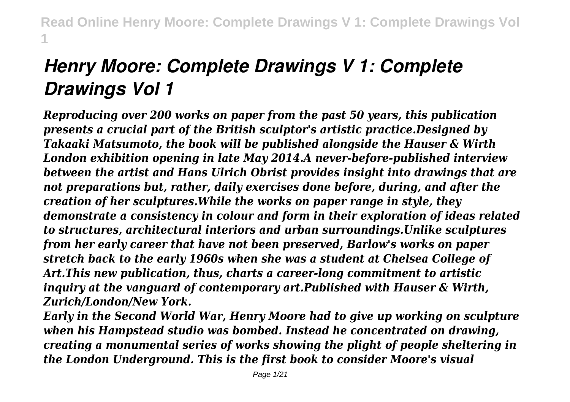# *Henry Moore: Complete Drawings V 1: Complete Drawings Vol 1*

*Reproducing over 200 works on paper from the past 50 years, this publication presents a crucial part of the British sculptor's artistic practice.Designed by Takaaki Matsumoto, the book will be published alongside the Hauser & Wirth London exhibition opening in late May 2014.A never-before-published interview between the artist and Hans Ulrich Obrist provides insight into drawings that are not preparations but, rather, daily exercises done before, during, and after the creation of her sculptures.While the works on paper range in style, they demonstrate a consistency in colour and form in their exploration of ideas related to structures, architectural interiors and urban surroundings.Unlike sculptures from her early career that have not been preserved, Barlow's works on paper stretch back to the early 1960s when she was a student at Chelsea College of Art.This new publication, thus, charts a career-long commitment to artistic inquiry at the vanguard of contemporary art.Published with Hauser & Wirth, Zurich/London/New York.*

*Early in the Second World War, Henry Moore had to give up working on sculpture when his Hampstead studio was bombed. Instead he concentrated on drawing, creating a monumental series of works showing the plight of people sheltering in the London Underground. This is the first book to consider Moore's visual*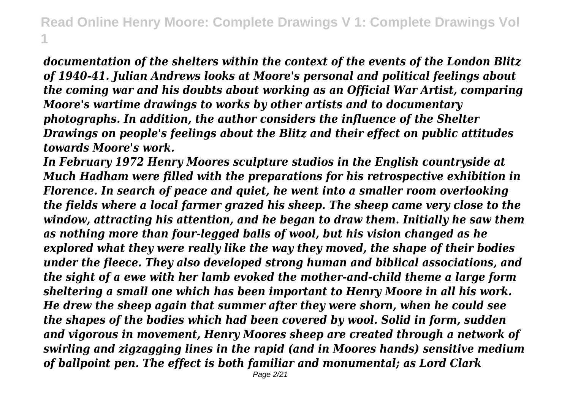*documentation of the shelters within the context of the events of the London Blitz of 1940-41. Julian Andrews looks at Moore's personal and political feelings about the coming war and his doubts about working as an Official War Artist, comparing Moore's wartime drawings to works by other artists and to documentary photographs. In addition, the author considers the influence of the Shelter Drawings on people's feelings about the Blitz and their effect on public attitudes towards Moore's work.*

*In February 1972 Henry Moores sculpture studios in the English countryside at Much Hadham were filled with the preparations for his retrospective exhibition in Florence. In search of peace and quiet, he went into a smaller room overlooking the fields where a local farmer grazed his sheep. The sheep came very close to the window, attracting his attention, and he began to draw them. Initially he saw them as nothing more than four-legged balls of wool, but his vision changed as he explored what they were really like the way they moved, the shape of their bodies under the fleece. They also developed strong human and biblical associations, and the sight of a ewe with her lamb evoked the mother-and-child theme a large form sheltering a small one which has been important to Henry Moore in all his work. He drew the sheep again that summer after they were shorn, when he could see the shapes of the bodies which had been covered by wool. Solid in form, sudden and vigorous in movement, Henry Moores sheep are created through a network of swirling and zigzagging lines in the rapid (and in Moores hands) sensitive medium of ballpoint pen. The effect is both familiar and monumental; as Lord Clark*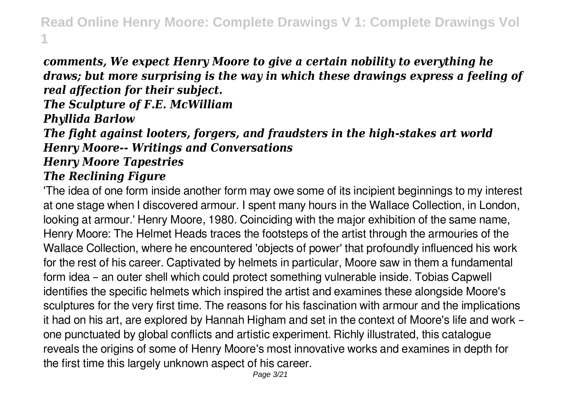*comments, We expect Henry Moore to give a certain nobility to everything he draws; but more surprising is the way in which these drawings express a feeling of real affection for their subject. The Sculpture of F.E. McWilliam Phyllida Barlow*

*The fight against looters, forgers, and fraudsters in the high-stakes art world Henry Moore-- Writings and Conversations*

*Henry Moore Tapestries*

### *The Reclining Figure*

'The idea of one form inside another form may owe some of its incipient beginnings to my interest at one stage when I discovered armour. I spent many hours in the Wallace Collection, in London, looking at armour.' Henry Moore, 1980. Coinciding with the major exhibition of the same name, Henry Moore: The Helmet Heads traces the footsteps of the artist through the armouries of the Wallace Collection, where he encountered 'objects of power' that profoundly influenced his work for the rest of his career. Captivated by helmets in particular, Moore saw in them a fundamental form idea – an outer shell which could protect something vulnerable inside. Tobias Capwell identifies the specific helmets which inspired the artist and examines these alongside Moore's sculptures for the very first time. The reasons for his fascination with armour and the implications it had on his art, are explored by Hannah Higham and set in the context of Moore's life and work – one punctuated by global conflicts and artistic experiment. Richly illustrated, this catalogue reveals the origins of some of Henry Moore's most innovative works and examines in depth for the first time this largely unknown aspect of his career.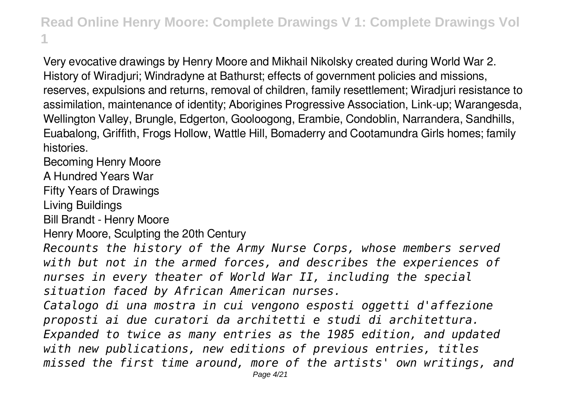Very evocative drawings by Henry Moore and Mikhail Nikolsky created during World War 2. History of Wiradjuri; Windradyne at Bathurst; effects of government policies and missions, reserves, expulsions and returns, removal of children, family resettlement; Wiradjuri resistance to assimilation, maintenance of identity; Aborigines Progressive Association, Link-up; Warangesda, Wellington Valley, Brungle, Edgerton, Gooloogong, Erambie, Condoblin, Narrandera, Sandhills, Euabalong, Griffith, Frogs Hollow, Wattle Hill, Bomaderry and Cootamundra Girls homes; family histories.

Becoming Henry Moore

A Hundred Years War

Fifty Years of Drawings

Living Buildings

Bill Brandt - Henry Moore

Henry Moore, Sculpting the 20th Century

*Recounts the history of the Army Nurse Corps, whose members served with but not in the armed forces, and describes the experiences of nurses in every theater of World War II, including the special situation faced by African American nurses.*

*Catalogo di una mostra in cui vengono esposti oggetti d'affezione proposti ai due curatori da architetti e studi di architettura. Expanded to twice as many entries as the 1985 edition, and updated with new publications, new editions of previous entries, titles missed the first time around, more of the artists' own writings, and*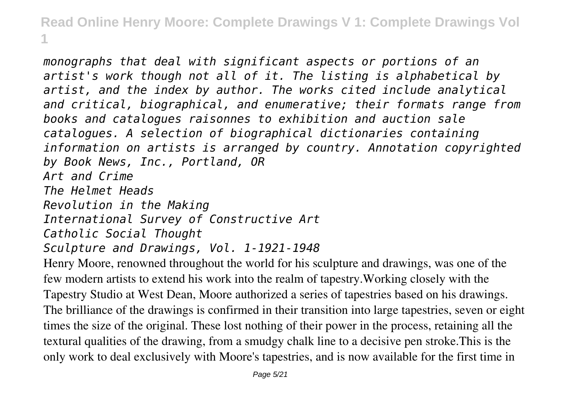*monographs that deal with significant aspects or portions of an artist's work though not all of it. The listing is alphabetical by artist, and the index by author. The works cited include analytical and critical, biographical, and enumerative; their formats range from books and catalogues raisonnes to exhibition and auction sale catalogues. A selection of biographical dictionaries containing information on artists is arranged by country. Annotation copyrighted by Book News, Inc., Portland, OR Art and Crime The Helmet Heads Revolution in the Making International Survey of Constructive Art Catholic Social Thought Sculpture and Drawings, Vol. 1-1921-1948* Henry Moore, renowned throughout the world for his sculpture and drawings, was one of the

few modern artists to extend his work into the realm of tapestry.Working closely with the Tapestry Studio at West Dean, Moore authorized a series of tapestries based on his drawings. The brilliance of the drawings is confirmed in their transition into large tapestries, seven or eight times the size of the original. These lost nothing of their power in the process, retaining all the textural qualities of the drawing, from a smudgy chalk line to a decisive pen stroke.This is the only work to deal exclusively with Moore's tapestries, and is now available for the first time in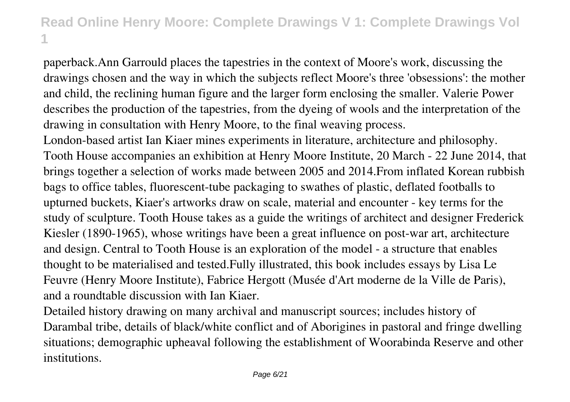paperback.Ann Garrould places the tapestries in the context of Moore's work, discussing the drawings chosen and the way in which the subjects reflect Moore's three 'obsessions': the mother and child, the reclining human figure and the larger form enclosing the smaller. Valerie Power describes the production of the tapestries, from the dyeing of wools and the interpretation of the drawing in consultation with Henry Moore, to the final weaving process.

London-based artist Ian Kiaer mines experiments in literature, architecture and philosophy. Tooth House accompanies an exhibition at Henry Moore Institute, 20 March - 22 June 2014, that brings together a selection of works made between 2005 and 2014.From inflated Korean rubbish bags to office tables, fluorescent-tube packaging to swathes of plastic, deflated footballs to upturned buckets, Kiaer's artworks draw on scale, material and encounter - key terms for the study of sculpture. Tooth House takes as a guide the writings of architect and designer Frederick Kiesler (1890-1965), whose writings have been a great influence on post-war art, architecture and design. Central to Tooth House is an exploration of the model - a structure that enables thought to be materialised and tested.Fully illustrated, this book includes essays by Lisa Le Feuvre (Henry Moore Institute), Fabrice Hergott (Musée d'Art moderne de la Ville de Paris), and a roundtable discussion with Ian Kiaer.

Detailed history drawing on many archival and manuscript sources; includes history of Darambal tribe, details of black/white conflict and of Aborigines in pastoral and fringe dwelling situations; demographic upheaval following the establishment of Woorabinda Reserve and other institutions.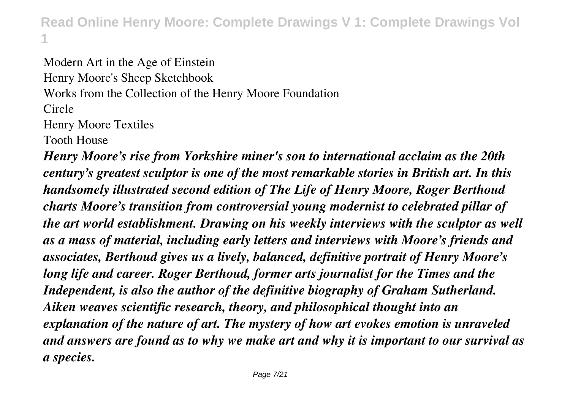Modern Art in the Age of Einstein Henry Moore's Sheep Sketchbook Works from the Collection of the Henry Moore Foundation Circle Henry Moore Textiles Tooth House

*Henry Moore's rise from Yorkshire miner's son to international acclaim as the 20th century's greatest sculptor is one of the most remarkable stories in British art. In this handsomely illustrated second edition of The Life of Henry Moore, Roger Berthoud charts Moore's transition from controversial young modernist to celebrated pillar of the art world establishment. Drawing on his weekly interviews with the sculptor as well as a mass of material, including early letters and interviews with Moore's friends and associates, Berthoud gives us a lively, balanced, definitive portrait of Henry Moore's long life and career. Roger Berthoud, former arts journalist for the Times and the Independent, is also the author of the definitive biography of Graham Sutherland. Aiken weaves scientific research, theory, and philosophical thought into an explanation of the nature of art. The mystery of how art evokes emotion is unraveled and answers are found as to why we make art and why it is important to our survival as a species.*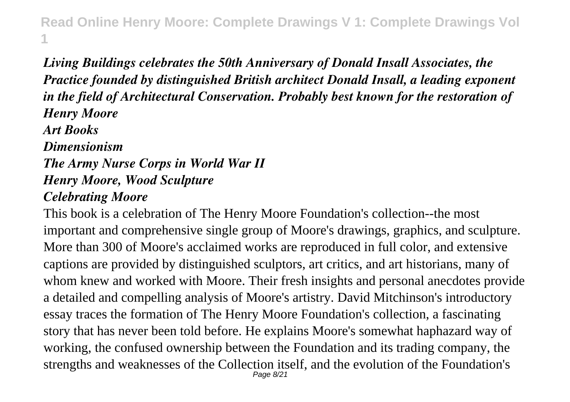## *Living Buildings celebrates the 50th Anniversary of Donald Insall Associates, the Practice founded by distinguished British architect Donald Insall, a leading exponent in the field of Architectural Conservation. Probably best known for the restoration of Henry Moore Art Books Dimensionism The Army Nurse Corps in World War II Henry Moore, Wood Sculpture Celebrating Moore*

This book is a celebration of The Henry Moore Foundation's collection--the most important and comprehensive single group of Moore's drawings, graphics, and sculpture. More than 300 of Moore's acclaimed works are reproduced in full color, and extensive captions are provided by distinguished sculptors, art critics, and art historians, many of whom knew and worked with Moore. Their fresh insights and personal anecdotes provide a detailed and compelling analysis of Moore's artistry. David Mitchinson's introductory essay traces the formation of The Henry Moore Foundation's collection, a fascinating story that has never been told before. He explains Moore's somewhat haphazard way of working, the confused ownership between the Foundation and its trading company, the strengths and weaknesses of the Collection itself, and the evolution of the Foundation's Page 8/21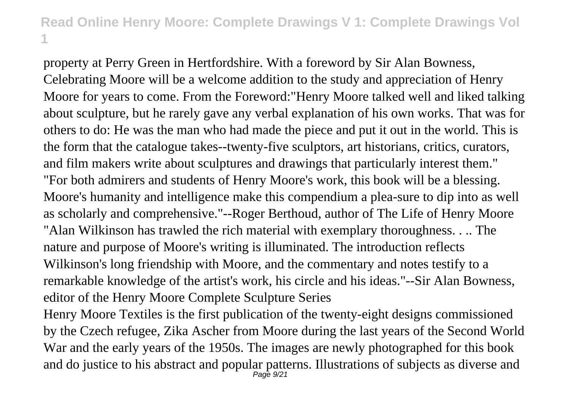property at Perry Green in Hertfordshire. With a foreword by Sir Alan Bowness, Celebrating Moore will be a welcome addition to the study and appreciation of Henry Moore for years to come. From the Foreword:"Henry Moore talked well and liked talking about sculpture, but he rarely gave any verbal explanation of his own works. That was for others to do: He was the man who had made the piece and put it out in the world. This is the form that the catalogue takes--twenty-five sculptors, art historians, critics, curators, and film makers write about sculptures and drawings that particularly interest them." "For both admirers and students of Henry Moore's work, this book will be a blessing. Moore's humanity and intelligence make this compendium a plea-sure to dip into as well as scholarly and comprehensive."--Roger Berthoud, author of The Life of Henry Moore "Alan Wilkinson has trawled the rich material with exemplary thoroughness. . .. The nature and purpose of Moore's writing is illuminated. The introduction reflects Wilkinson's long friendship with Moore, and the commentary and notes testify to a remarkable knowledge of the artist's work, his circle and his ideas."--Sir Alan Bowness, editor of the Henry Moore Complete Sculpture Series

Henry Moore Textiles is the first publication of the twenty-eight designs commissioned by the Czech refugee, Zika Ascher from Moore during the last years of the Second World War and the early years of the 1950s. The images are newly photographed for this book and do justice to his abstract and popular patterns. Illustrations of subjects as diverse and Page 9/21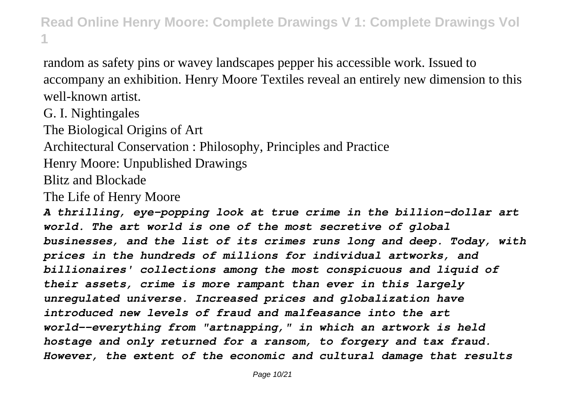random as safety pins or wavey landscapes pepper his accessible work. Issued to accompany an exhibition. Henry Moore Textiles reveal an entirely new dimension to this well-known artist.

G. I. Nightingales

The Biological Origins of Art

Architectural Conservation : Philosophy, Principles and Practice

Henry Moore: Unpublished Drawings

Blitz and Blockade

The Life of Henry Moore

*A thrilling, eye-popping look at true crime in the billion-dollar art world. The art world is one of the most secretive of global businesses, and the list of its crimes runs long and deep. Today, with prices in the hundreds of millions for individual artworks, and billionaires' collections among the most conspicuous and liquid of their assets, crime is more rampant than ever in this largely unregulated universe. Increased prices and globalization have introduced new levels of fraud and malfeasance into the art world--everything from "artnapping," in which an artwork is held hostage and only returned for a ransom, to forgery and tax fraud. However, the extent of the economic and cultural damage that results*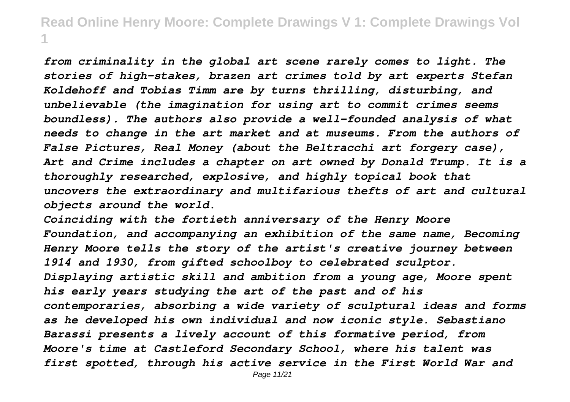*from criminality in the global art scene rarely comes to light. The stories of high-stakes, brazen art crimes told by art experts Stefan Koldehoff and Tobias Timm are by turns thrilling, disturbing, and unbelievable (the imagination for using art to commit crimes seems boundless). The authors also provide a well-founded analysis of what needs to change in the art market and at museums. From the authors of False Pictures, Real Money (about the Beltracchi art forgery case), Art and Crime includes a chapter on art owned by Donald Trump. It is a thoroughly researched, explosive, and highly topical book that uncovers the extraordinary and multifarious thefts of art and cultural objects around the world.*

*Coinciding with the fortieth anniversary of the Henry Moore Foundation, and accompanying an exhibition of the same name, Becoming Henry Moore tells the story of the artist's creative journey between 1914 and 1930, from gifted schoolboy to celebrated sculptor. Displaying artistic skill and ambition from a young age, Moore spent his early years studying the art of the past and of his contemporaries, absorbing a wide variety of sculptural ideas and forms as he developed his own individual and now iconic style. Sebastiano Barassi presents a lively account of this formative period, from Moore's time at Castleford Secondary School, where his talent was first spotted, through his active service in the First World War and*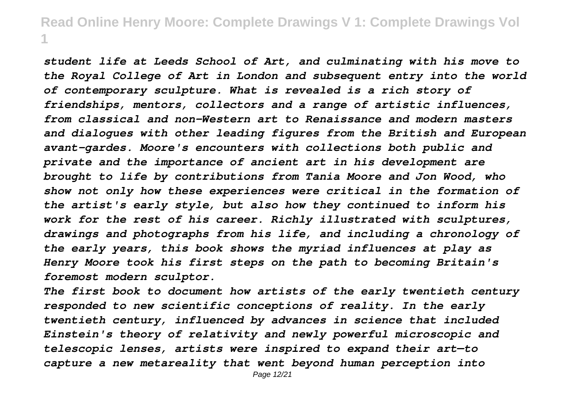*student life at Leeds School of Art, and culminating with his move to the Royal College of Art in London and subsequent entry into the world of contemporary sculpture. What is revealed is a rich story of friendships, mentors, collectors and a range of artistic influences, from classical and non-Western art to Renaissance and modern masters and dialogues with other leading figures from the British and European avant-gardes. Moore's encounters with collections both public and private and the importance of ancient art in his development are brought to life by contributions from Tania Moore and Jon Wood, who show not only how these experiences were critical in the formation of the artist's early style, but also how they continued to inform his work for the rest of his career. Richly illustrated with sculptures, drawings and photographs from his life, and including a chronology of the early years, this book shows the myriad influences at play as Henry Moore took his first steps on the path to becoming Britain's foremost modern sculptor.*

*The first book to document how artists of the early twentieth century responded to new scientific conceptions of reality. In the early twentieth century, influenced by advances in science that included Einstein's theory of relativity and newly powerful microscopic and telescopic lenses, artists were inspired to expand their art—to capture a new metareality that went beyond human perception into*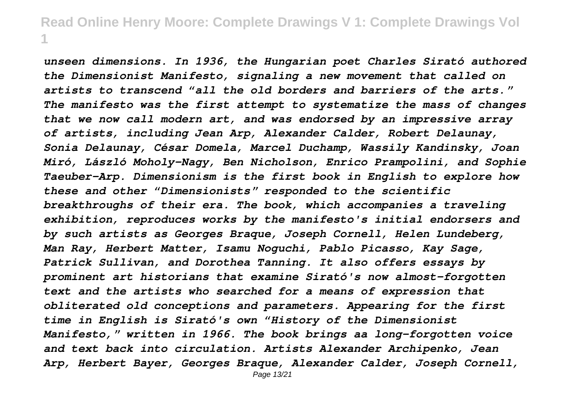*unseen dimensions. In 1936, the Hungarian poet Charles Sirató authored the Dimensionist Manifesto, signaling a new movement that called on artists to transcend "all the old borders and barriers of the arts." The manifesto was the first attempt to systematize the mass of changes that we now call modern art, and was endorsed by an impressive array of artists, including Jean Arp, Alexander Calder, Robert Delaunay, Sonia Delaunay, César Domela, Marcel Duchamp, Wassily Kandinsky, Joan Miró, László Moholy-Nagy, Ben Nicholson, Enrico Prampolini, and Sophie Taeuber-Arp. Dimensionism is the first book in English to explore how these and other "Dimensionists" responded to the scientific breakthroughs of their era. The book, which accompanies a traveling exhibition, reproduces works by the manifesto's initial endorsers and by such artists as Georges Braque, Joseph Cornell, Helen Lundeberg, Man Ray, Herbert Matter, Isamu Noguchi, Pablo Picasso, Kay Sage, Patrick Sullivan, and Dorothea Tanning. It also offers essays by prominent art historians that examine Sirató's now almost-forgotten text and the artists who searched for a means of expression that obliterated old conceptions and parameters. Appearing for the first time in English is Sirató's own "History of the Dimensionist Manifesto," written in 1966. The book brings aa long-forgotten voice and text back into circulation. Artists Alexander Archipenko, Jean Arp, Herbert Bayer, Georges Braque, Alexander Calder, Joseph Cornell,* Page 13/21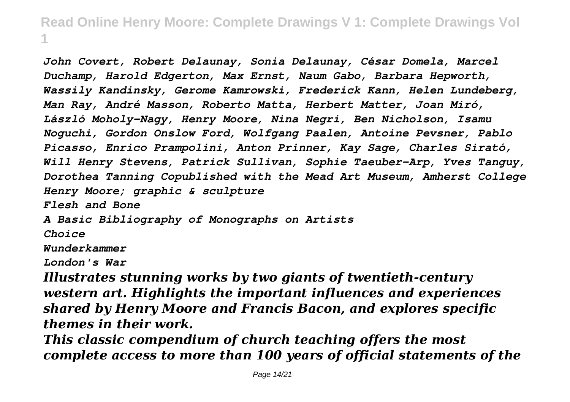*John Covert, Robert Delaunay, Sonia Delaunay, César Domela, Marcel Duchamp, Harold Edgerton, Max Ernst, Naum Gabo, Barbara Hepworth, Wassily Kandinsky, Gerome Kamrowski, Frederick Kann, Helen Lundeberg, Man Ray, André Masson, Roberto Matta, Herbert Matter, Joan Miró, László Moholy-Nagy, Henry Moore, Nina Negri, Ben Nicholson, Isamu Noguchi, Gordon Onslow Ford, Wolfgang Paalen, Antoine Pevsner, Pablo Picasso, Enrico Prampolini, Anton Prinner, Kay Sage, Charles Sirató, Will Henry Stevens, Patrick Sullivan, Sophie Taeuber-Arp, Yves Tanguy, Dorothea Tanning Copublished with the Mead Art Museum, Amherst College Henry Moore; graphic & sculpture Flesh and Bone A Basic Bibliography of Monographs on Artists Choice Wunderkammer London's War*

*Illustrates stunning works by two giants of twentieth-century western art. Highlights the important influences and experiences shared by Henry Moore and Francis Bacon, and explores specific themes in their work.*

*This classic compendium of church teaching offers the most complete access to more than 100 years of official statements of the*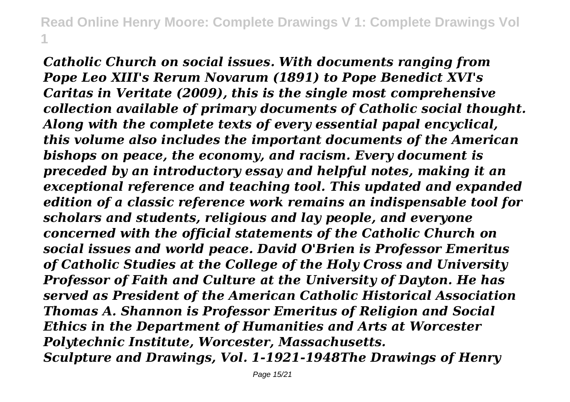*Catholic Church on social issues. With documents ranging from Pope Leo XIII's Rerum Novarum (1891) to Pope Benedict XVI's Caritas in Veritate (2009), this is the single most comprehensive collection available of primary documents of Catholic social thought. Along with the complete texts of every essential papal encyclical, this volume also includes the important documents of the American bishops on peace, the economy, and racism. Every document is preceded by an introductory essay and helpful notes, making it an exceptional reference and teaching tool. This updated and expanded edition of a classic reference work remains an indispensable tool for scholars and students, religious and lay people, and everyone concerned with the official statements of the Catholic Church on social issues and world peace. David O'Brien is Professor Emeritus of Catholic Studies at the College of the Holy Cross and University Professor of Faith and Culture at the University of Dayton. He has served as President of the American Catholic Historical Association Thomas A. Shannon is Professor Emeritus of Religion and Social Ethics in the Department of Humanities and Arts at Worcester Polytechnic Institute, Worcester, Massachusetts. Sculpture and Drawings, Vol. 1-1921-1948The Drawings of Henry*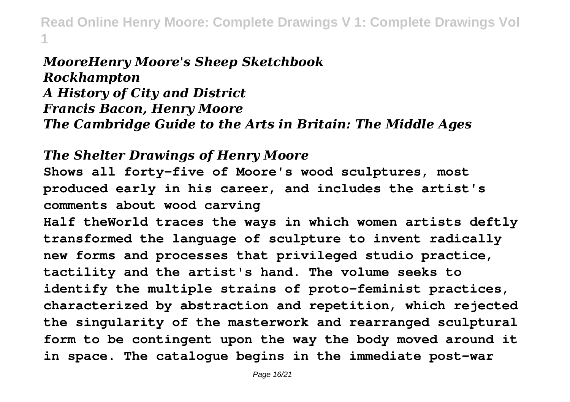#### *MooreHenry Moore's Sheep Sketchbook Rockhampton A History of City and District Francis Bacon, Henry Moore The Cambridge Guide to the Arts in Britain: The Middle Ages*

#### *The Shelter Drawings of Henry Moore*

**Shows all forty-five of Moore's wood sculptures, most produced early in his career, and includes the artist's comments about wood carving**

**Half theWorld traces the ways in which women artists deftly transformed the language of sculpture to invent radically new forms and processes that privileged studio practice, tactility and the artist's hand. The volume seeks to identify the multiple strains of proto-feminist practices, characterized by abstraction and repetition, which rejected the singularity of the masterwork and rearranged sculptural form to be contingent upon the way the body moved around it in space. The catalogue begins in the immediate post-war**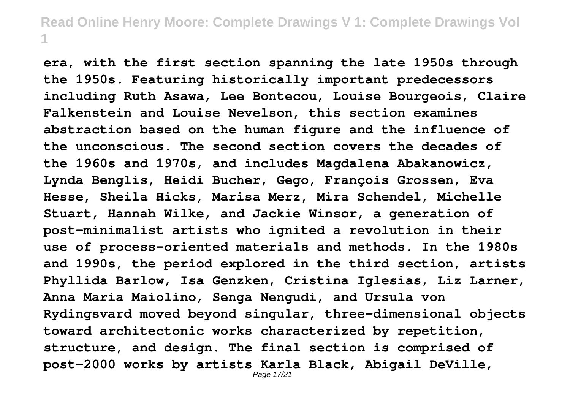**era, with the first section spanning the late 1950s through the 1950s. Featuring historically important predecessors including Ruth Asawa, Lee Bontecou, Louise Bourgeois, Claire Falkenstein and Louise Nevelson, this section examines abstraction based on the human figure and the influence of the unconscious. The second section covers the decades of the 1960s and 1970s, and includes Magdalena Abakanowicz, Lynda Benglis, Heidi Bucher, Gego, François Grossen, Eva Hesse, Sheila Hicks, Marisa Merz, Mira Schendel, Michelle Stuart, Hannah Wilke, and Jackie Winsor, a generation of post-minimalist artists who ignited a revolution in their use of process-oriented materials and methods. In the 1980s and 1990s, the period explored in the third section, artists Phyllida Barlow, Isa Genzken, Cristina Iglesias, Liz Larner, Anna Maria Maiolino, Senga Nengudi, and Ursula von Rydingsvard moved beyond singular, three-dimensional objects toward architectonic works characterized by repetition, structure, and design. The final section is comprised of post-2000 works by artists Karla Black, Abigail DeVille,**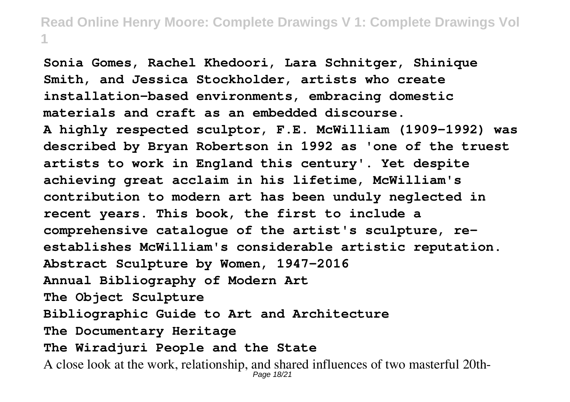**Sonia Gomes, Rachel Khedoori, Lara Schnitger, Shinique Smith, and Jessica Stockholder, artists who create installation-based environments, embracing domestic materials and craft as an embedded discourse. A highly respected sculptor, F.E. McWilliam (1909-1992) was described by Bryan Robertson in 1992 as 'one of the truest artists to work in England this century'. Yet despite achieving great acclaim in his lifetime, McWilliam's contribution to modern art has been unduly neglected in recent years. This book, the first to include a comprehensive catalogue of the artist's sculpture, reestablishes McWilliam's considerable artistic reputation. Abstract Sculpture by Women, 1947-2016 Annual Bibliography of Modern Art The Object Sculpture Bibliographic Guide to Art and Architecture The Documentary Heritage The Wiradjuri People and the State** A close look at the work, relationship, and shared influences of two masterful 20th-Page 18/21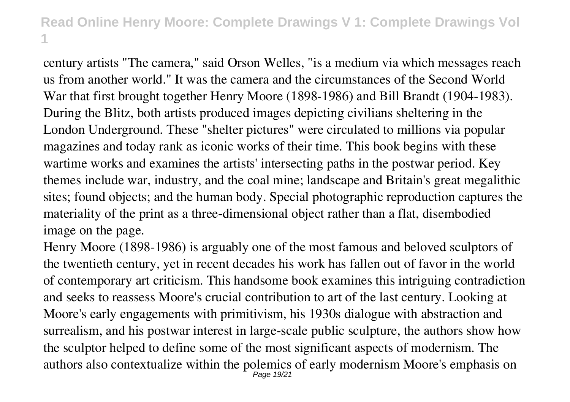century artists "The camera," said Orson Welles, "is a medium via which messages reach us from another world." It was the camera and the circumstances of the Second World War that first brought together Henry Moore (1898-1986) and Bill Brandt (1904-1983). During the Blitz, both artists produced images depicting civilians sheltering in the London Underground. These "shelter pictures" were circulated to millions via popular magazines and today rank as iconic works of their time. This book begins with these wartime works and examines the artists' intersecting paths in the postwar period. Key themes include war, industry, and the coal mine; landscape and Britain's great megalithic sites; found objects; and the human body. Special photographic reproduction captures the materiality of the print as a three-dimensional object rather than a flat, disembodied image on the page.

Henry Moore (1898-1986) is arguably one of the most famous and beloved sculptors of the twentieth century, yet in recent decades his work has fallen out of favor in the world of contemporary art criticism. This handsome book examines this intriguing contradiction and seeks to reassess Moore's crucial contribution to art of the last century. Looking at Moore's early engagements with primitivism, his 1930s dialogue with abstraction and surrealism, and his postwar interest in large-scale public sculpture, the authors show how the sculptor helped to define some of the most significant aspects of modernism. The authors also contextualize within the polemics of early modernism Moore's emphasis on Page 19/21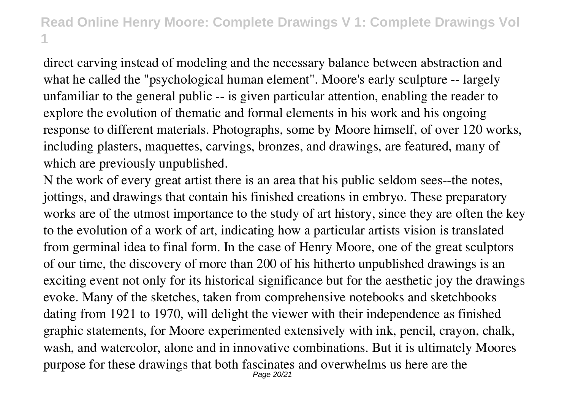direct carving instead of modeling and the necessary balance between abstraction and what he called the "psychological human element". Moore's early sculpture -- largely unfamiliar to the general public -- is given particular attention, enabling the reader to explore the evolution of thematic and formal elements in his work and his ongoing response to different materials. Photographs, some by Moore himself, of over 120 works, including plasters, maquettes, carvings, bronzes, and drawings, are featured, many of which are previously unpublished.

N the work of every great artist there is an area that his public seldom sees--the notes, jottings, and drawings that contain his finished creations in embryo. These preparatory works are of the utmost importance to the study of art history, since they are often the key to the evolution of a work of art, indicating how a particular artists vision is translated from germinal idea to final form. In the case of Henry Moore, one of the great sculptors of our time, the discovery of more than 200 of his hitherto unpublished drawings is an exciting event not only for its historical significance but for the aesthetic joy the drawings evoke. Many of the sketches, taken from comprehensive notebooks and sketchbooks dating from 1921 to 1970, will delight the viewer with their independence as finished graphic statements, for Moore experimented extensively with ink, pencil, crayon, chalk, wash, and watercolor, alone and in innovative combinations. But it is ultimately Moores purpose for these drawings that both fascinates and overwhelms us here are the Page 20/21